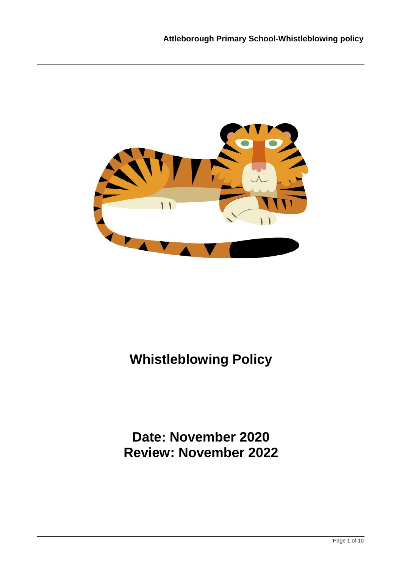

# **Whistleblowing Policy**

## **Date: November 2020 Review: November 2022**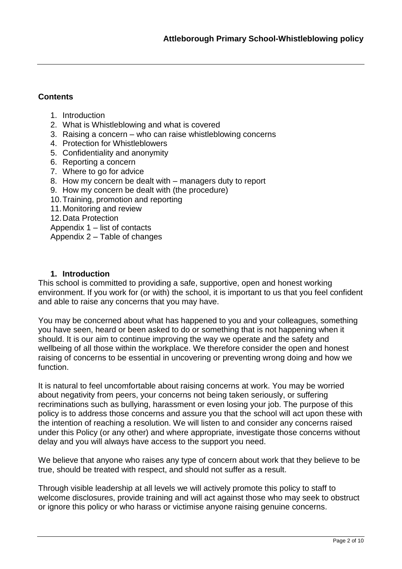#### **Contents**

- 1. Introduction
- 2. What is Whistleblowing and what is covered
- 3. Raising a concern who can raise whistleblowing concerns
- 4. Protection for Whistleblowers
- 5. Confidentiality and anonymity
- 6. Reporting a concern
- 7. Where to go for advice
- 8. How my concern be dealt with managers duty to report
- 9. How my concern be dealt with (the procedure)
- 10.Training, promotion and reporting
- 11.Monitoring and review
- 12.Data Protection
- Appendix 1 list of contacts
- Appendix 2 Table of changes

#### **1. Introduction**

This school is committed to providing a safe, supportive, open and honest working environment. If you work for (or with) the school, it is important to us that you feel confident and able to raise any concerns that you may have.

You may be concerned about what has happened to you and your colleagues, something you have seen, heard or been asked to do or something that is not happening when it should. It is our aim to continue improving the way we operate and the safety and wellbeing of all those within the workplace. We therefore consider the open and honest raising of concerns to be essential in uncovering or preventing wrong doing and how we function.

It is natural to feel uncomfortable about raising concerns at work. You may be worried about negativity from peers, your concerns not being taken seriously, or suffering recriminations such as bullying, harassment or even losing your job. The purpose of this policy is to address those concerns and assure you that the school will act upon these with the intention of reaching a resolution. We will listen to and consider any concerns raised under this Policy (or any other) and where appropriate, investigate those concerns without delay and you will always have access to the support you need.

We believe that anyone who raises any type of concern about work that they believe to be true, should be treated with respect, and should not suffer as a result.

Through visible leadership at all levels we will actively promote this policy to staff to welcome disclosures, provide training and will act against those who may seek to obstruct or ignore this policy or who harass or victimise anyone raising genuine concerns.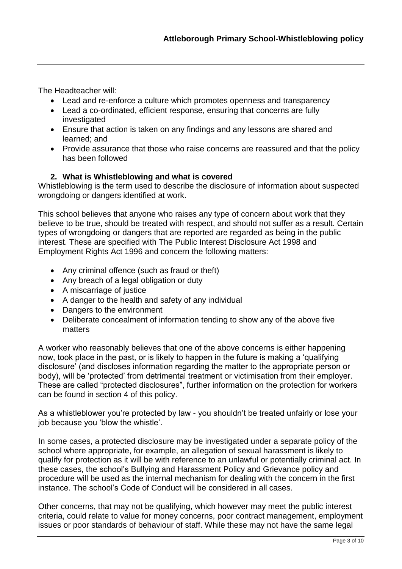The Headteacher will:

- Lead and re-enforce a culture which promotes openness and transparency
- Lead a co-ordinated, efficient response, ensuring that concerns are fully investigated
- Ensure that action is taken on any findings and any lessons are shared and learned; and
- Provide assurance that those who raise concerns are reassured and that the policy has been followed

#### **2. What is Whistleblowing and what is covered**

Whistleblowing is the term used to describe the disclosure of information about suspected wrongdoing or dangers identified at work.

This school believes that anyone who raises any type of concern about work that they believe to be true, should be treated with respect, and should not suffer as a result. Certain types of wrongdoing or dangers that are reported are regarded as being in the public interest. These are specified with The Public Interest Disclosure Act 1998 and Employment Rights Act 1996 and concern the following matters:

- Any criminal offence (such as fraud or theft)
- Any breach of a legal obligation or duty
- A miscarriage of justice
- A danger to the health and safety of any individual
- Dangers to the environment
- Deliberate concealment of information tending to show any of the above five matters

A worker who reasonably believes that one of the above concerns is either happening now, took place in the past, or is likely to happen in the future is making a 'qualifying disclosure' (and discloses information regarding the matter to the appropriate person or body), will be 'protected' from detrimental treatment or victimisation from their employer. These are called "protected disclosures", further information on the protection for workers can be found in section 4 of this policy.

As a whistleblower you're protected by law - you shouldn't be treated unfairly or lose your job because you 'blow the whistle'.

In some cases, a protected disclosure may be investigated under a separate policy of the school where appropriate, for example, an allegation of sexual harassment is likely to qualify for protection as it will be with reference to an unlawful or potentially criminal act. In these cases, the school's Bullying and Harassment Policy and Grievance policy and procedure will be used as the internal mechanism for dealing with the concern in the first instance. The school's Code of Conduct will be considered in all cases.

Other concerns, that may not be qualifying, which however may meet the public interest criteria, could relate to value for money concerns, poor contract management, employment issues or poor standards of behaviour of staff. While these may not have the same legal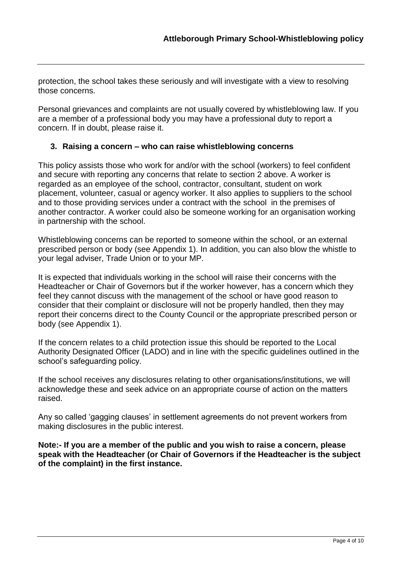protection, the school takes these seriously and will investigate with a view to resolving those concerns.

Personal grievances and complaints are not usually covered by whistleblowing law. If you are a member of a professional body you may have a professional duty to report a concern. If in doubt, please raise it.

#### **3. Raising a concern – who can raise whistleblowing concerns**

This policy assists those who work for and/or with the school (workers) to feel confident and secure with reporting any concerns that relate to section 2 above. A worker is regarded as an employee of the school, contractor, consultant, student on work placement, volunteer, casual or agency worker. It also applies to suppliers to the school and to those providing services under a contract with the school in the premises of another contractor. A worker could also be someone working for an organisation working in partnership with the school.

Whistleblowing concerns can be reported to someone within the school, or an external prescribed person or body (see Appendix 1). In addition, you can also blow the whistle to your legal adviser, Trade Union or to your MP.

It is expected that individuals working in the school will raise their concerns with the Headteacher or Chair of Governors but if the worker however, has a concern which they feel they cannot discuss with the management of the school or have good reason to consider that their complaint or disclosure will not be properly handled, then they may report their concerns direct to the County Council or the appropriate prescribed person or body (see Appendix 1).

If the concern relates to a child protection issue this should be reported to the Local Authority Designated Officer (LADO) and in line with the specific guidelines outlined in the school's safeguarding policy.

If the school receives any disclosures relating to other organisations/institutions, we will acknowledge these and seek advice on an appropriate course of action on the matters raised.

Any so called 'gagging clauses' in settlement agreements do not prevent workers from making disclosures in the public interest.

**Note:- If you are a member of the public and you wish to raise a concern, please speak with the Headteacher (or Chair of Governors if the Headteacher is the subject of the complaint) in the first instance.**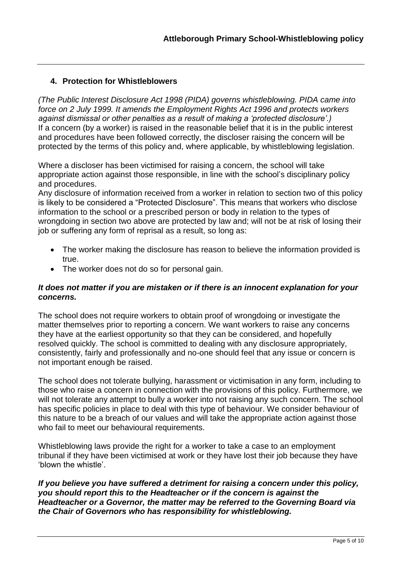#### **4. Protection for Whistleblowers**

*(The Public Interest Disclosure Act 1998 (PIDA) governs whistleblowing. PIDA came into force on 2 July 1999. It amends the Employment Rights Act 1996 and protects workers against dismissal or other penalties as a result of making a 'protected disclosure'.)*  If a concern (by a worker) is raised in the reasonable belief that it is in the public interest and procedures have been followed correctly, the discloser raising the concern will be protected by the terms of this policy and, where applicable, by whistleblowing legislation.

Where a discloser has been victimised for raising a concern, the school will take appropriate action against those responsible, in line with the school's disciplinary policy and procedures.

Any disclosure of information received from a worker in relation to section two of this policy is likely to be considered a "Protected Disclosure". This means that workers who disclose information to the school or a prescribed person or body in relation to the types of wrongdoing in section two above are protected by law and; will not be at risk of losing their job or suffering any form of reprisal as a result, so long as:

- The worker making the disclosure has reason to believe the information provided is true.
- The worker does not do so for personal gain.

#### *It does not matter if you are mistaken or if there is an innocent explanation for your concerns.*

The school does not require workers to obtain proof of wrongdoing or investigate the matter themselves prior to reporting a concern. We want workers to raise any concerns they have at the earliest opportunity so that they can be considered, and hopefully resolved quickly. The school is committed to dealing with any disclosure appropriately, consistently, fairly and professionally and no-one should feel that any issue or concern is not important enough be raised.

The school does not tolerate bullying, harassment or victimisation in any form, including to those who raise a concern in connection with the provisions of this policy. Furthermore, we will not tolerate any attempt to bully a worker into not raising any such concern. The school has specific policies in place to deal with this type of behaviour. We consider behaviour of this nature to be a breach of our values and will take the appropriate action against those who fail to meet our behavioural requirements.

Whistleblowing laws provide the right for a worker to take a case to an employment tribunal if they have been victimised at work or they have lost their job because they have 'blown the whistle'.

*If you believe you have suffered a detriment for raising a concern under this policy, you should report this to the Headteacher or if the concern is against the Headteacher or a Governor, the matter may be referred to the Governing Board via the Chair of Governors who has responsibility for whistleblowing.*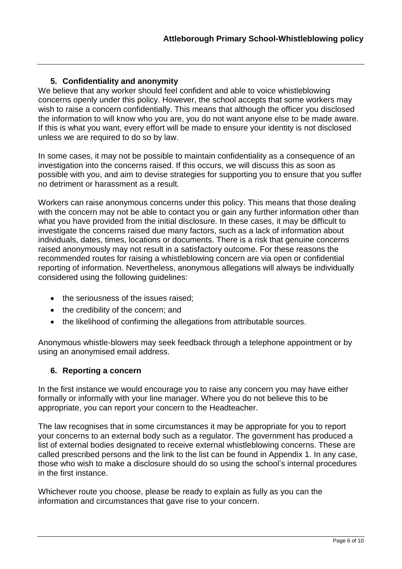#### **5. Confidentiality and anonymity**

We believe that any worker should feel confident and able to voice whistleblowing concerns openly under this policy. However, the school accepts that some workers may wish to raise a concern confidentially. This means that although the officer you disclosed the information to will know who you are, you do not want anyone else to be made aware. If this is what you want, every effort will be made to ensure your identity is not disclosed unless we are required to do so by law.

In some cases, it may not be possible to maintain confidentiality as a consequence of an investigation into the concerns raised. If this occurs, we will discuss this as soon as possible with you, and aim to devise strategies for supporting you to ensure that you suffer no detriment or harassment as a result.

Workers can raise anonymous concerns under this policy. This means that those dealing with the concern may not be able to contact you or gain any further information other than what you have provided from the initial disclosure. In these cases, it may be difficult to investigate the concerns raised due many factors, such as a lack of information about individuals, dates, times, locations or documents. There is a risk that genuine concerns raised anonymously may not result in a satisfactory outcome. For these reasons the recommended routes for raising a whistleblowing concern are via open or confidential reporting of information. Nevertheless, anonymous allegations will always be individually considered using the following guidelines:

- the seriousness of the issues raised;
- the credibility of the concern; and
- the likelihood of confirming the allegations from attributable sources.

Anonymous whistle-blowers may seek feedback through a telephone appointment or by using an anonymised email address.

#### **6. Reporting a concern**

In the first instance we would encourage you to raise any concern you may have either formally or informally with your line manager. Where you do not believe this to be appropriate, you can report your concern to the Headteacher.

The law recognises that in some circumstances it may be appropriate for you to report your concerns to an external body such as a regulator. The government has produced a list of external bodies designated to receive external whistleblowing concerns. These are called prescribed persons and the link to the list can be found in Appendix 1. In any case, those who wish to make a disclosure should do so using the school's internal procedures in the first instance.

Whichever route you choose, please be ready to explain as fully as you can the information and circumstances that gave rise to your concern.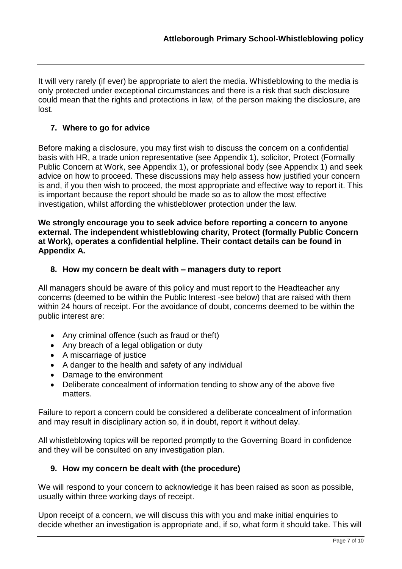It will very rarely (if ever) be appropriate to alert the media. Whistleblowing to the media is only protected under exceptional circumstances and there is a risk that such disclosure could mean that the rights and protections in law, of the person making the disclosure, are lost.

#### **7. Where to go for advice**

Before making a disclosure, you may first wish to discuss the concern on a confidential basis with HR, a trade union representative (see Appendix 1), solicitor, Protect (Formally Public Concern at Work, see Appendix 1), or professional body (see Appendix 1) and seek advice on how to proceed. These discussions may help assess how justified your concern is and, if you then wish to proceed, the most appropriate and effective way to report it. This is important because the report should be made so as to allow the most effective investigation, whilst affording the whistleblower protection under the law.

**We strongly encourage you to seek advice before reporting a concern to anyone external. The independent whistleblowing charity, Protect (formally Public Concern at Work), operates a confidential helpline. Their contact details can be found in Appendix A.** 

#### **8. How my concern be dealt with – managers duty to report**

All managers should be aware of this policy and must report to the Headteacher any concerns (deemed to be within the Public Interest -see below) that are raised with them within 24 hours of receipt. For the avoidance of doubt, concerns deemed to be within the public interest are:

- Any criminal offence (such as fraud or theft)
- Any breach of a legal obligation or duty
- A miscarriage of justice
- A danger to the health and safety of any individual
- Damage to the environment
- Deliberate concealment of information tending to show any of the above five matters.

Failure to report a concern could be considered a deliberate concealment of information and may result in disciplinary action so, if in doubt, report it without delay.

All whistleblowing topics will be reported promptly to the Governing Board in confidence and they will be consulted on any investigation plan.

#### **9. How my concern be dealt with (the procedure)**

We will respond to your concern to acknowledge it has been raised as soon as possible, usually within three working days of receipt.

Upon receipt of a concern, we will discuss this with you and make initial enquiries to decide whether an investigation is appropriate and, if so, what form it should take. This will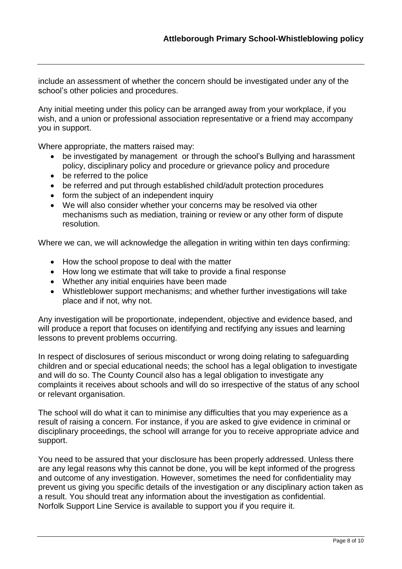include an assessment of whether the concern should be investigated under any of the school's other policies and procedures.

Any initial meeting under this policy can be arranged away from your workplace, if you wish, and a union or professional association representative or a friend may accompany you in support.

Where appropriate, the matters raised may:

- be investigated by management or through the school's Bullying and harassment policy, disciplinary policy and procedure or grievance policy and procedure
- be referred to the police
- be referred and put through established child/adult protection procedures
- form the subject of an independent inquiry
- We will also consider whether your concerns may be resolved via other mechanisms such as mediation, training or review or any other form of dispute resolution.

Where we can, we will acknowledge the allegation in writing within ten days confirming:

- How the school propose to deal with the matter
- How long we estimate that will take to provide a final response
- Whether any initial enquiries have been made
- Whistleblower support mechanisms; and whether further investigations will take place and if not, why not.

Any investigation will be proportionate, independent, objective and evidence based, and will produce a report that focuses on identifying and rectifying any issues and learning lessons to prevent problems occurring.

In respect of disclosures of serious misconduct or wrong doing relating to safeguarding children and or special educational needs; the school has a legal obligation to investigate and will do so. The County Council also has a legal obligation to investigate any complaints it receives about schools and will do so irrespective of the status of any school or relevant organisation.

The school will do what it can to minimise any difficulties that you may experience as a result of raising a concern. For instance, if you are asked to give evidence in criminal or disciplinary proceedings, the school will arrange for you to receive appropriate advice and support.

You need to be assured that your disclosure has been properly addressed. Unless there are any legal reasons why this cannot be done, you will be kept informed of the progress and outcome of any investigation. However, sometimes the need for confidentiality may prevent us giving you specific details of the investigation or any disciplinary action taken as a result. You should treat any information about the investigation as confidential. Norfolk Support Line Service is available to support you if you require it.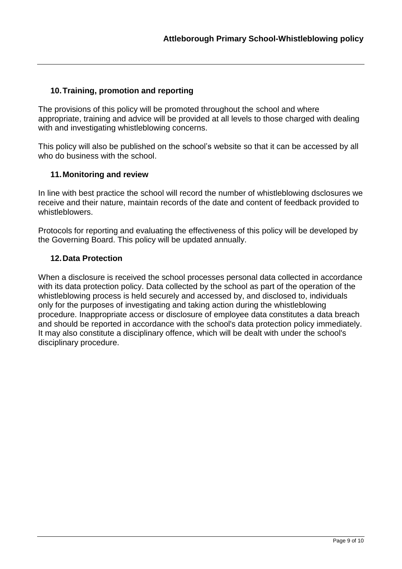#### **10.Training, promotion and reporting**

The provisions of this policy will be promoted throughout the school and where appropriate, training and advice will be provided at all levels to those charged with dealing with and investigating whistleblowing concerns.

This policy will also be published on the school's website so that it can be accessed by all who do business with the school.

#### **11.Monitoring and review**

In line with best practice the school will record the number of whistleblowing dsclosures we receive and their nature, maintain records of the date and content of feedback provided to whistleblowers.

Protocols for reporting and evaluating the effectiveness of this policy will be developed by the Governing Board. This policy will be updated annually.

#### **12.Data Protection**

When a disclosure is received the school processes personal data collected in accordance with its data protection policy. Data collected by the school as part of the operation of the whistleblowing process is held securely and accessed by, and disclosed to, individuals only for the purposes of investigating and taking action during the whistleblowing procedure. Inappropriate access or disclosure of employee data constitutes a data breach and should be reported in accordance with the school's data protection policy immediately. It may also constitute a disciplinary offence, which will be dealt with under the school's disciplinary procedure.